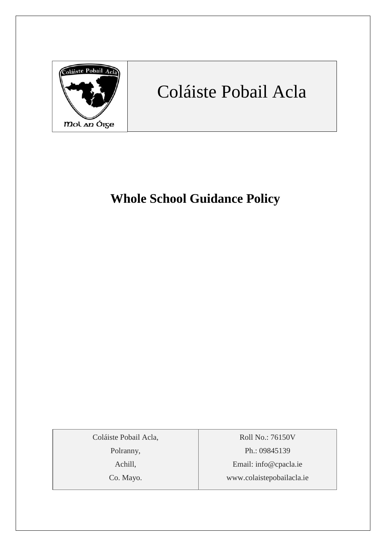

# Coláiste Pobail Acla

# **Whole School Guidance Policy**

Coláiste Pobail Acla,

Polranny,

Achill,

Co. Mayo.

Roll No.: 76150V Ph.: 09845139 Email: [info@cpacla.ie](mailto:info@cpacla.ie) www.colaistepobailacla.ie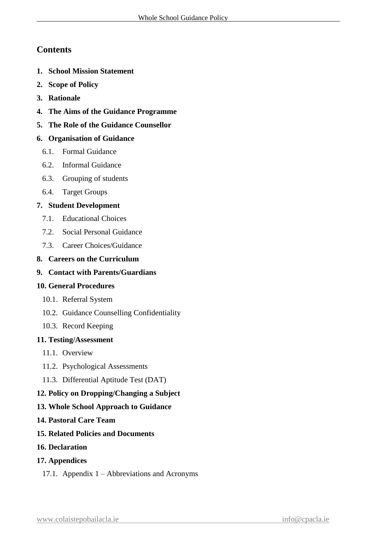# **Contents**

- **1. School Mission Statement**
- **2. Scope of Policy**
- **3. Rationale**
- **4. The Aims of the Guidance Programme**
- **5. The Role of the Guidance Counsellor**

#### **6. Organisation of Guidance**

- 6.1. Formal Guidance
- 6.2. Informal Guidance
- 6.3. Grouping of students
- 6.4. Target Groups

#### **7. Student Development**

- 7.1. Educational Choices
- 7.2. Social Personal Guidance
- 7.3. Career Choices/Guidance

#### **8. Careers on the Curriculum**

**9. Contact with Parents/Guardians**

#### **10. General Procedures**

- 10.1. Referral System
- 10.2. Guidance Counselling Confidentiality
- 10.3. Record Keeping

#### **11. Testing/Assessment**

- 11.1. Overview
- 11.2. Psychological Assessments
- 11.3. Differential Aptitude Test (DAT)

#### **12. Policy on Dropping/Changing a Subject**

#### **13. Whole School Approach to Guidance**

**14. Pastoral Care Team**

#### **15. Related Policies and Documents**

**16. Declaration**

#### **17. Appendices**

17.1. Appendix 1 – Abbreviations and Acronyms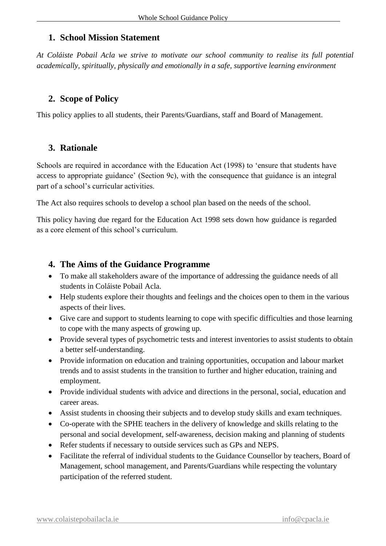# **1. School Mission Statement**

*At Coláiste Pobail Acla we strive to motivate our school community to realise its full potential academically, spiritually, physically and emotionally in a safe, supportive learning environment*

# **2. Scope of Policy**

This policy applies to all students, their Parents/Guardians, staff and Board of Management.

# **3. Rationale**

Schools are required in accordance with the Education Act (1998) to 'ensure that students have access to appropriate guidance' (Section 9c), with the consequence that guidance is an integral part of a school's curricular activities.

The Act also requires schools to develop a school plan based on the needs of the school.

This policy having due regard for the Education Act 1998 sets down how guidance is regarded as a core element of this school's curriculum.

# **4. The Aims of the Guidance Programme**

- To make all stakeholders aware of the importance of addressing the guidance needs of all students in Coláiste Pobail Acla.
- Help students explore their thoughts and feelings and the choices open to them in the various aspects of their lives.
- Give care and support to students learning to cope with specific difficulties and those learning to cope with the many aspects of growing up.
- Provide several types of psychometric tests and interest inventories to assist students to obtain a better self-understanding.
- Provide information on education and training opportunities, occupation and labour market trends and to assist students in the transition to further and higher education, training and employment.
- Provide individual students with advice and directions in the personal, social, education and career areas.
- Assist students in choosing their subjects and to develop study skills and exam techniques.
- Co-operate with the SPHE teachers in the delivery of knowledge and skills relating to the personal and social development, self-awareness, decision making and planning of students
- Refer students if necessary to outside services such as GPs and NEPS.
- Facilitate the referral of individual students to the Guidance Counsellor by teachers, Board of Management, school management, and Parents/Guardians while respecting the voluntary participation of the referred student.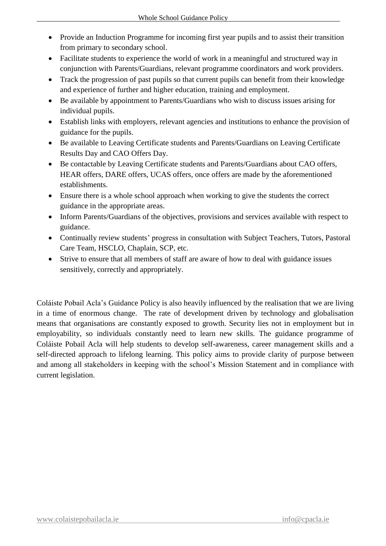- Provide an Induction Programme for incoming first year pupils and to assist their transition from primary to secondary school.
- Facilitate students to experience the world of work in a meaningful and structured way in conjunction with Parents/Guardians, relevant programme coordinators and work providers.
- Track the progression of past pupils so that current pupils can benefit from their knowledge and experience of further and higher education, training and employment.
- Be available by appointment to Parents/Guardians who wish to discuss issues arising for individual pupils.
- Establish links with employers, relevant agencies and institutions to enhance the provision of guidance for the pupils.
- Be available to Leaving Certificate students and Parents/Guardians on Leaving Certificate Results Day and CAO Offers Day.
- Be contactable by Leaving Certificate students and Parents/Guardians about CAO offers, HEAR offers, DARE offers, UCAS offers, once offers are made by the aforementioned establishments.
- Ensure there is a whole school approach when working to give the students the correct guidance in the appropriate areas.
- Inform Parents/Guardians of the objectives, provisions and services available with respect to guidance.
- Continually review students' progress in consultation with Subject Teachers, Tutors, Pastoral Care Team, HSCLO, Chaplain, SCP, etc.
- Strive to ensure that all members of staff are aware of how to deal with guidance issues sensitively, correctly and appropriately.

Coláiste Pobail Acla's Guidance Policy is also heavily influenced by the realisation that we are living in a time of enormous change. The rate of development driven by technology and globalisation means that organisations are constantly exposed to growth. Security lies not in employment but in employability, so individuals constantly need to learn new skills. The guidance programme of Coláiste Pobail Acla will help students to develop self-awareness, career management skills and a self-directed approach to lifelong learning. This policy aims to provide clarity of purpose between and among all stakeholders in keeping with the school's Mission Statement and in compliance with current legislation.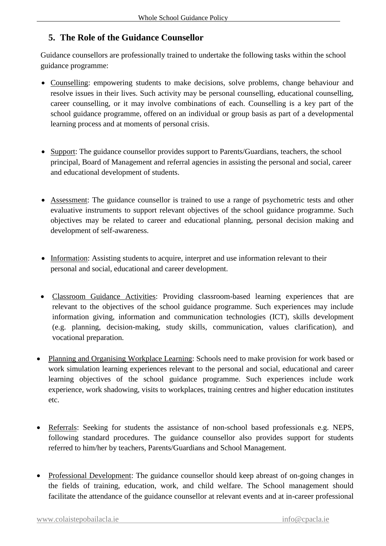# **5. The Role of the Guidance Counsellor**

Guidance counsellors are professionally trained to undertake the following tasks within the school guidance programme:

- Counselling: empowering students to make decisions, solve problems, change behaviour and resolve issues in their lives. Such activity may be personal counselling, educational counselling, career counselling, or it may involve combinations of each. Counselling is a key part of the school guidance programme, offered on an individual or group basis as part of a developmental learning process and at moments of personal crisis.
- Support: The guidance counsellor provides support to Parents/Guardians, teachers, the school principal, Board of Management and referral agencies in assisting the personal and social, career and educational development of students.
- Assessment: The guidance counsellor is trained to use a range of psychometric tests and other evaluative instruments to support relevant objectives of the school guidance programme. Such objectives may be related to career and educational planning, personal decision making and development of self-awareness.
- Information: Assisting students to acquire, interpret and use information relevant to their personal and social, educational and career development.
- Classroom Guidance Activities: Providing classroom-based learning experiences that are relevant to the objectives of the school guidance programme. Such experiences may include information giving, information and communication technologies (ICT), skills development (e.g. planning, decision-making, study skills, communication, values clarification), and vocational preparation.
- Planning and Organising Workplace Learning: Schools need to make provision for work based or work simulation learning experiences relevant to the personal and social, educational and career learning objectives of the school guidance programme. Such experiences include work experience, work shadowing, visits to workplaces, training centres and higher education institutes etc.
- Referrals: Seeking for students the assistance of non-school based professionals e.g. NEPS, following standard procedures. The guidance counsellor also provides support for students referred to him/her by teachers, Parents/Guardians and School Management.
- Professional Development: The guidance counsellor should keep abreast of on-going changes in the fields of training, education, work, and child welfare. The School management should facilitate the attendance of the guidance counsellor at relevant events and at in-career professional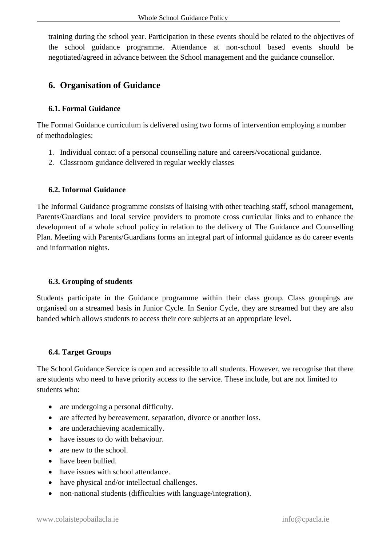training during the school year. Participation in these events should be related to the objectives of the school guidance programme. Attendance at non-school based events should be negotiated/agreed in advance between the School management and the guidance counsellor.

# **6. Organisation of Guidance**

#### **6.1. Formal Guidance**

The Formal Guidance curriculum is delivered using two forms of intervention employing a number of methodologies:

- 1. Individual contact of a personal counselling nature and careers/vocational guidance.
- 2. Classroom guidance delivered in regular weekly classes

#### **6.2. Informal Guidance**

The Informal Guidance programme consists of liaising with other teaching staff, school management, Parents/Guardians and local service providers to promote cross curricular links and to enhance the development of a whole school policy in relation to the delivery of The Guidance and Counselling Plan. Meeting with Parents/Guardians forms an integral part of informal guidance as do career events and information nights.

#### **6.3. Grouping of students**

Students participate in the Guidance programme within their class group. Class groupings are organised on a streamed basis in Junior Cycle. In Senior Cycle, they are streamed but they are also banded which allows students to access their core subjects at an appropriate level.

#### **6.4. Target Groups**

The School Guidance Service is open and accessible to all students. However, we recognise that there are students who need to have priority access to the service. These include, but are not limited to students who:

- are undergoing a personal difficulty.
- are affected by bereavement, separation, divorce or another loss.
- are underachieving academically.
- have issues to do with behaviour.
- are new to the school.
- have been bullied
- have issues with school attendance.
- have physical and/or intellectual challenges.
- non-national students (difficulties with language/integration).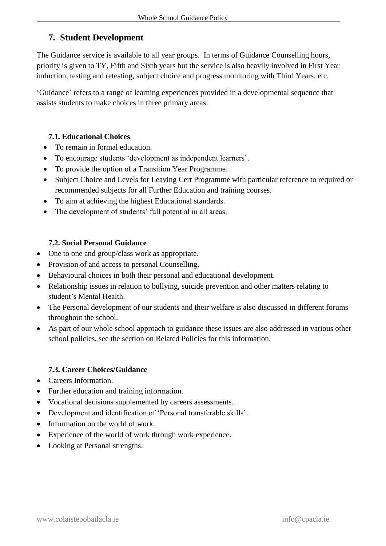# **7. Student Development**

The Guidance service is available to all year groups. In terms of Guidance Counselling hours, priority is given to TY, Fifth and Sixth years but the service is also heavily involved in First Year induction, testing and retesting, subject choice and progress monitoring with Third Years, etc.

'Guidance' refers to a range of learning experiences provided in a developmental sequence that assists students to make choices in three primary areas:

#### **7.1. Educational Choices**

- To remain in formal education.
- To encourage students 'development as independent learners'.
- To provide the option of a Transition Year Programme.
- Subject Choice and Levels for Leaving Cert Programme with particular reference to required or recommended subjects for all Further Education and training courses.
- To aim at achieving the highest Educational standards.
- The development of students' full potential in all areas.

#### **7.2. Social Personal Guidance**

- One to one and group/class work as appropriate.
- Provision of and access to personal Counselling.
- Behavioural choices in both their personal and educational development.
- Relationship issues in relation to bullying, suicide prevention and other matters relating to student's Mental Health.
- The Personal development of our students and their welfare is also discussed in different forums throughout the school.
- As part of our whole school approach to guidance these issues are also addressed in various other school policies, see the section on Related Policies for this information.

# **7.3. Career Choices/Guidance**

- Careers Information.
- Further education and training information.
- Vocational decisions supplemented by careers assessments.
- Development and identification of 'Personal transferable skills'.
- Information on the world of work.
- Experience of the world of work through work experience.
- Looking at Personal strengths.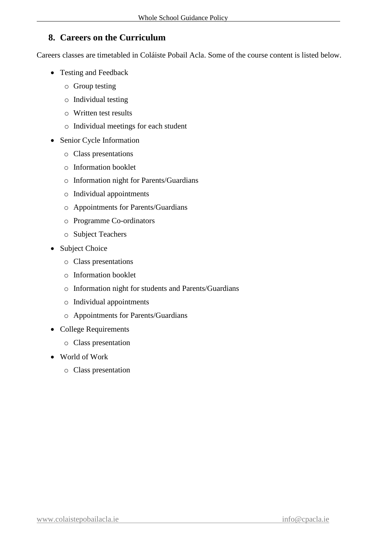# **8. Careers on the Curriculum**

Careers classes are timetabled in Coláiste Pobail Acla. Some of the course content is listed below.

- Testing and Feedback
	- o Group testing
	- o Individual testing
	- o Written test results
	- o Individual meetings for each student
- Senior Cycle Information
	- o Class presentations
	- o Information booklet
	- o Information night for Parents/Guardians
	- o Individual appointments
	- o Appointments for Parents/Guardians
	- o Programme Co-ordinators
	- o Subject Teachers
- Subject Choice
	- o Class presentations
	- o Information booklet
	- o Information night for students and Parents/Guardians
	- o Individual appointments
	- o Appointments for Parents/Guardians
- College Requirements
	- o Class presentation
- World of Work
	- o Class presentation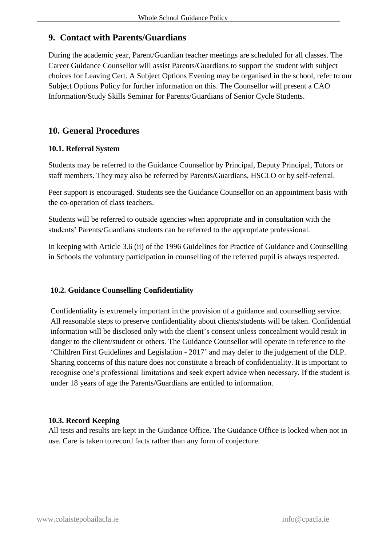# **9. Contact with Parents/Guardians**

During the academic year, Parent/Guardian teacher meetings are scheduled for all classes. The Career Guidance Counsellor will assist Parents/Guardians to support the student with subject choices for Leaving Cert. A Subject Options Evening may be organised in the school, refer to our Subject Options Policy for further information on this. The Counsellor will present a CAO Information/Study Skills Seminar for Parents/Guardians of Senior Cycle Students.

# **10. General Procedures**

#### **10.1. Referral System**

Students may be referred to the Guidance Counsellor by Principal, Deputy Principal, Tutors or staff members. They may also be referred by Parents/Guardians, HSCLO or by self-referral.

Peer support is encouraged. Students see the Guidance Counsellor on an appointment basis with the co-operation of class teachers.

Students will be referred to outside agencies when appropriate and in consultation with the students' Parents/Guardians students can be referred to the appropriate professional.

In keeping with Article 3.6 (ii) of the 1996 Guidelines for Practice of Guidance and Counselling in Schools the voluntary participation in counselling of the referred pupil is always respected.

#### **10.2. Guidance Counselling Confidentiality**

Confidentiality is extremely important in the provision of a guidance and counselling service. All reasonable steps to preserve confidentiality about clients/students will be taken. Confidential information will be disclosed only with the client's consent unless concealment would result in danger to the client/student or others. The Guidance Counsellor will operate in reference to the 'Children First Guidelines and Legislation - 2017' and may defer to the judgement of the DLP. Sharing concerns of this nature does not constitute a breach of confidentiality. It is important to recognise one's professional limitations and seek expert advice when necessary. If the student is under 18 years of age the Parents/Guardians are entitled to information.

#### **10.3. Record Keeping**

All tests and results are kept in the Guidance Office. The Guidance Office is locked when not in use. Care is taken to record facts rather than any form of conjecture.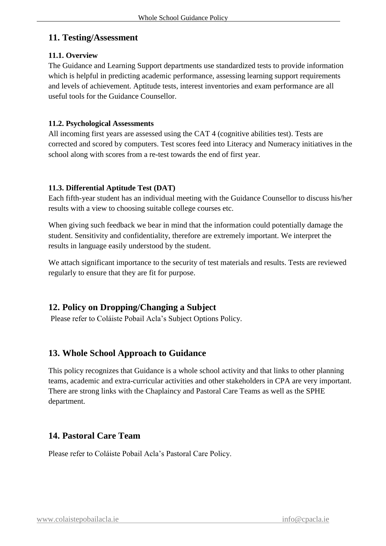# **11. Testing/Assessment**

#### **11.1. Overview**

The Guidance and Learning Support departments use standardized tests to provide information which is helpful in predicting academic performance, assessing learning support requirements and levels of achievement. Aptitude tests, interest inventories and exam performance are all useful tools for the Guidance Counsellor.

#### **11.2. Psychological Assessments**

All incoming first years are assessed using the CAT 4 (cognitive abilities test). Tests are corrected and scored by computers. Test scores feed into Literacy and Numeracy initiatives in the school along with scores from a re-test towards the end of first year.

#### **11.3. Differential Aptitude Test (DAT)**

Each fifth-year student has an individual meeting with the Guidance Counsellor to discuss his/her results with a view to choosing suitable college courses etc.

When giving such feedback we bear in mind that the information could potentially damage the student. Sensitivity and confidentiality, therefore are extremely important. We interpret the results in language easily understood by the student.

We attach significant importance to the security of test materials and results. Tests are reviewed regularly to ensure that they are fit for purpose.

# **12. Policy on Dropping/Changing a Subject**

Please refer to Coláiste Pobail Acla's Subject Options Policy.

# **13. Whole School Approach to Guidance**

This policy recognizes that Guidance is a whole school activity and that links to other planning teams, academic and extra-curricular activities and other stakeholders in CPA are very important. There are strong links with the Chaplaincy and Pastoral Care Teams as well as the SPHE department.

# **14. Pastoral Care Team**

Please refer to Coláiste Pobail Acla's Pastoral Care Policy.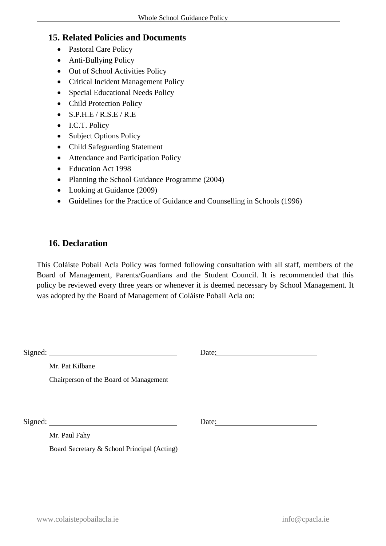# **15. Related Policies and Documents**

- Pastoral Care Policy
- Anti-Bullying Policy
- Out of School Activities Policy
- Critical Incident Management Policy
- Special Educational Needs Policy
- Child Protection Policy
- $\bullet$  S.P.H.E / R.S.E / R.E
- I.C.T. Policy
- Subject Options Policy
- Child Safeguarding Statement
- Attendance and Participation Policy
- Education Act 1998
- Planning the School Guidance Programme (2004)
- Looking at Guidance (2009)
- Guidelines for the Practice of Guidance and Counselling in Schools (1996)

# **16. Declaration**

This Coláiste Pobail Acla Policy was formed following consultation with all staff, members of the Board of Management, Parents/Guardians and the Student Council. It is recommended that this policy be reviewed every three years or whenever it is deemed necessary by School Management. It was adopted by the Board of Management of Coláiste Pobail Acla on:

|  | Signed:                                     | Date: |
|--|---------------------------------------------|-------|
|  | Mr. Pat Kilbane                             |       |
|  | Chairperson of the Board of Management      |       |
|  |                                             |       |
|  |                                             |       |
|  |                                             | Date: |
|  | Mr. Paul Fahy                               |       |
|  | Board Secretary & School Principal (Acting) |       |
|  |                                             |       |
|  |                                             |       |